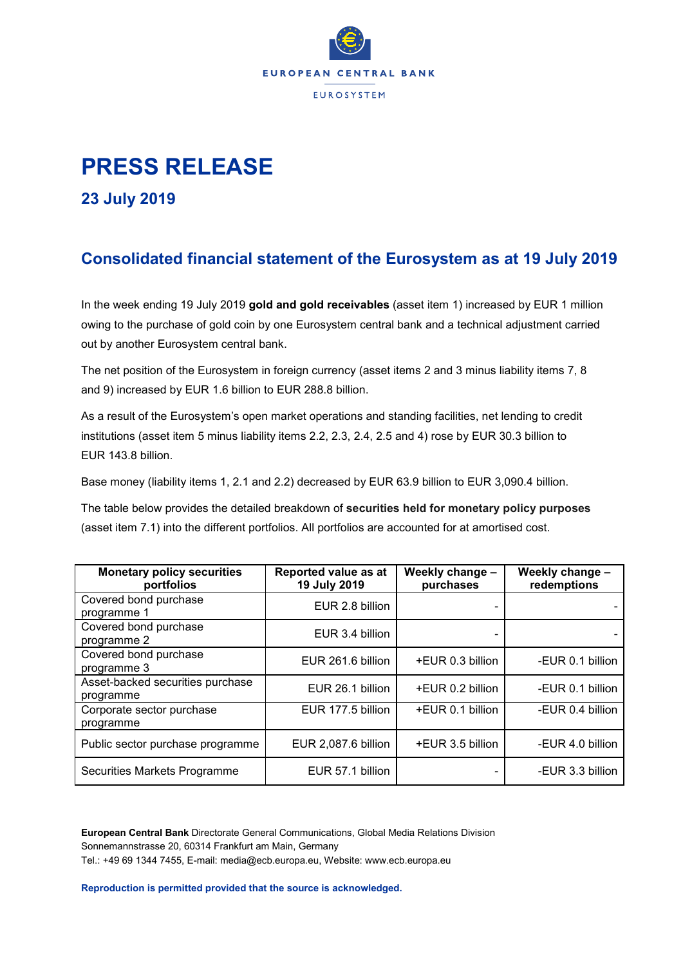

## **PRESS RELEASE**

**23 July 2019**

## **Consolidated financial statement of the Eurosystem as at 19 July 2019**

In the week ending 19 July 2019 **gold and gold receivables** (asset item 1) increased by EUR 1 million owing to the purchase of gold coin by one Eurosystem central bank and a technical adjustment carried out by another Eurosystem central bank.

The net position of the Eurosystem in foreign currency (asset items 2 and 3 minus liability items 7, 8 and 9) increased by EUR 1.6 billion to EUR 288.8 billion.

As a result of the Eurosystem's open market operations and standing facilities, net lending to credit institutions (asset item 5 minus liability items 2.2, 2.3, 2.4, 2.5 and 4) rose by EUR 30.3 billion to EUR 143.8 billion.

Base money (liability items 1, 2.1 and 2.2) decreased by EUR 63.9 billion to EUR 3,090.4 billion.

The table below provides the detailed breakdown of **securities held for monetary policy purposes** (asset item 7.1) into the different portfolios. All portfolios are accounted for at amortised cost.

| <b>Monetary policy securities</b><br>portfolios | Reported value as at<br>Weekly change -<br>19 July 2019<br>purchases |                  | Weekly change -<br>redemptions |  |
|-------------------------------------------------|----------------------------------------------------------------------|------------------|--------------------------------|--|
| Covered bond purchase<br>programme 1            | EUR 2.8 billion                                                      |                  |                                |  |
| Covered bond purchase<br>programme 2            | EUR 3.4 billion                                                      |                  |                                |  |
| Covered bond purchase<br>programme 3            | EUR 261.6 billion                                                    | +EUR 0.3 billion | -EUR 0.1 billion               |  |
| Asset-backed securities purchase<br>programme   | EUR 26.1 billion                                                     | +EUR 0.2 billion | -EUR 0.1 billion               |  |
| Corporate sector purchase<br>programme          | EUR 177.5 billion                                                    | +EUR 0.1 billion | -EUR 0.4 billion               |  |
| Public sector purchase programme                | EUR 2,087.6 billion                                                  | +EUR 3.5 billion | -EUR 4.0 billion               |  |
| Securities Markets Programme                    | EUR 57.1 billion                                                     |                  | -EUR 3.3 billion               |  |

**European Central Bank** Directorate General Communications, Global Media Relations Division Sonnemannstrasse 20, 60314 Frankfurt am Main, Germany Tel.: +49 69 1344 7455, E-mail: media@ecb.europa.eu, Website: www.ecb.europa.eu

**Reproduction is permitted provided that the source is acknowledged.**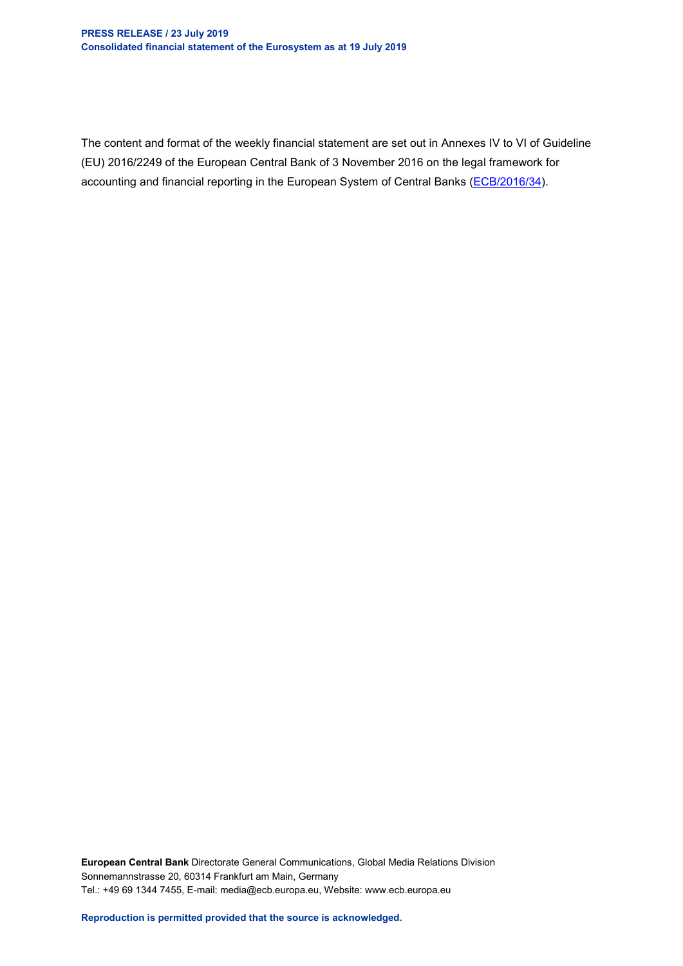The content and format of the weekly financial statement are set out in Annexes IV to VI of Guideline (EU) 2016/2249 of the European Central Bank of 3 November 2016 on the legal framework for accounting and financial reporting in the European System of Central Banks [\(ECB/2016/34\)](http://www.ecb.europa.eu/ecb/legal/1001/1012/html/index.en.html).

**European Central Bank** Directorate General Communications, Global Media Relations Division Sonnemannstrasse 20, 60314 Frankfurt am Main, Germany Tel.: +49 69 1344 7455, E-mail: media@ecb.europa.eu, Website: www.ecb.europa.eu